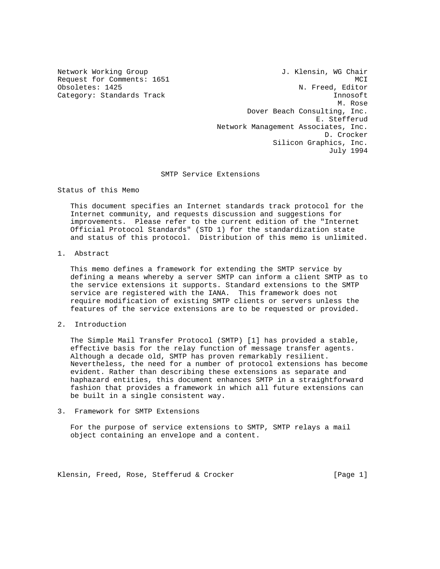Network Working Group 1. Klensin, WG Chair Request for Comments: 1651 MCI<br>
Obsoletes: 1425 Mobsoletes: 1425 N. Freed, Editor Category: Standards Track Innosoft Innosoft M. Rose Dover Beach Consulting, Inc. E. Stefferud Network Management Associates, Inc. D. Crocker Silicon Graphics, Inc. July 1994

# SMTP Service Extensions

Status of this Memo

 This document specifies an Internet standards track protocol for the Internet community, and requests discussion and suggestions for improvements. Please refer to the current edition of the "Internet Official Protocol Standards" (STD 1) for the standardization state and status of this protocol. Distribution of this memo is unlimited.

1. Abstract

 This memo defines a framework for extending the SMTP service by defining a means whereby a server SMTP can inform a client SMTP as to the service extensions it supports. Standard extensions to the SMTP service are registered with the IANA. This framework does not require modification of existing SMTP clients or servers unless the features of the service extensions are to be requested or provided.

2. Introduction

 The Simple Mail Transfer Protocol (SMTP) [1] has provided a stable, effective basis for the relay function of message transfer agents. Although a decade old, SMTP has proven remarkably resilient. Nevertheless, the need for a number of protocol extensions has become evident. Rather than describing these extensions as separate and haphazard entities, this document enhances SMTP in a straightforward fashion that provides a framework in which all future extensions can be built in a single consistent way.

3. Framework for SMTP Extensions

 For the purpose of service extensions to SMTP, SMTP relays a mail object containing an envelope and a content.

Klensin, Freed, Rose, Stefferud & Crocker [Page 1]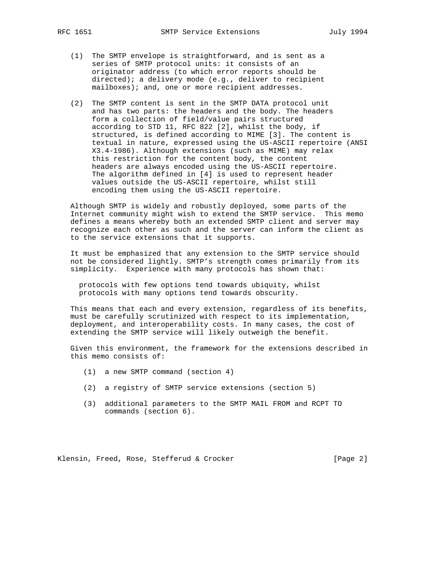- (1) The SMTP envelope is straightforward, and is sent as a series of SMTP protocol units: it consists of an originator address (to which error reports should be directed); a delivery mode (e.g., deliver to recipient mailboxes); and, one or more recipient addresses.
- (2) The SMTP content is sent in the SMTP DATA protocol unit and has two parts: the headers and the body. The headers form a collection of field/value pairs structured according to STD 11, RFC 822 [2], whilst the body, if structured, is defined according to MIME [3]. The content is textual in nature, expressed using the US-ASCII repertoire (ANSI X3.4-1986). Although extensions (such as MIME) may relax this restriction for the content body, the content headers are always encoded using the US-ASCII repertoire. The algorithm defined in [4] is used to represent header values outside the US-ASCII repertoire, whilst still encoding them using the US-ASCII repertoire.

 Although SMTP is widely and robustly deployed, some parts of the Internet community might wish to extend the SMTP service. This memo defines a means whereby both an extended SMTP client and server may recognize each other as such and the server can inform the client as to the service extensions that it supports.

 It must be emphasized that any extension to the SMTP service should not be considered lightly. SMTP's strength comes primarily from its simplicity. Experience with many protocols has shown that:

 protocols with few options tend towards ubiquity, whilst protocols with many options tend towards obscurity.

 This means that each and every extension, regardless of its benefits, must be carefully scrutinized with respect to its implementation, deployment, and interoperability costs. In many cases, the cost of extending the SMTP service will likely outweigh the benefit.

 Given this environment, the framework for the extensions described in this memo consists of:

- (1) a new SMTP command (section 4)
- (2) a registry of SMTP service extensions (section 5)
- (3) additional parameters to the SMTP MAIL FROM and RCPT TO commands (section 6).

Klensin, Freed, Rose, Stefferud & Crocker [Page 2]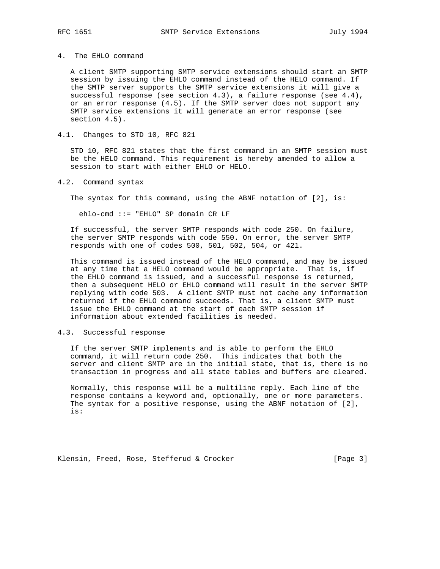### 4. The EHLO command

 A client SMTP supporting SMTP service extensions should start an SMTP session by issuing the EHLO command instead of the HELO command. If the SMTP server supports the SMTP service extensions it will give a successful response (see section  $4.3$ ), a failure response (see  $4.4$ ), or an error response (4.5). If the SMTP server does not support any SMTP service extensions it will generate an error response (see section 4.5).

### 4.1. Changes to STD 10, RFC 821

 STD 10, RFC 821 states that the first command in an SMTP session must be the HELO command. This requirement is hereby amended to allow a session to start with either EHLO or HELO.

# 4.2. Command syntax

The syntax for this command, using the ABNF notation of [2], is:

ehlo-cmd ::= "EHLO" SP domain CR LF

 If successful, the server SMTP responds with code 250. On failure, the server SMTP responds with code 550. On error, the server SMTP responds with one of codes 500, 501, 502, 504, or 421.

 This command is issued instead of the HELO command, and may be issued at any time that a HELO command would be appropriate. That is, if the EHLO command is issued, and a successful response is returned, then a subsequent HELO or EHLO command will result in the server SMTP replying with code 503. A client SMTP must not cache any information returned if the EHLO command succeeds. That is, a client SMTP must issue the EHLO command at the start of each SMTP session if information about extended facilities is needed.

# 4.3. Successful response

 If the server SMTP implements and is able to perform the EHLO command, it will return code 250. This indicates that both the server and client SMTP are in the initial state, that is, there is no transaction in progress and all state tables and buffers are cleared.

 Normally, this response will be a multiline reply. Each line of the response contains a keyword and, optionally, one or more parameters. The syntax for a positive response, using the ABNF notation of [2], is:

Klensin, Freed, Rose, Stefferud & Crocker [Page 3]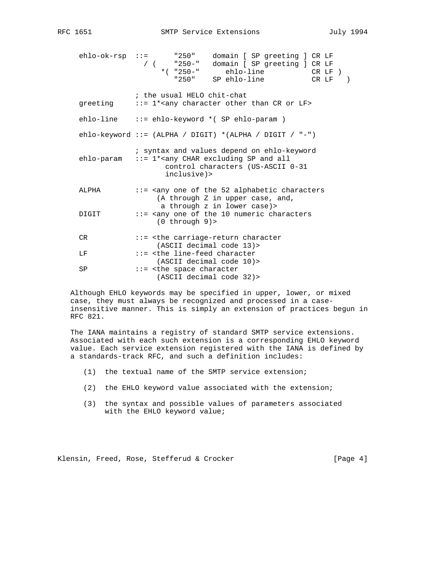|  | SMTP |
|--|------|
|--|------|

| ehlo-ok-rsp | " 250 "<br>$2.2 \pm 0.00$<br>domain [ SP greeting ] CR LF<br>$"250 - "$<br>domain [ SP greeting ] CR LF<br>$\sqrt{2}$<br>$*( 9250 - 1)$<br>ehlo-line CR LF )<br>"250" SP ehlo-line<br>$CR$ $LF$ ) |
|-------------|---------------------------------------------------------------------------------------------------------------------------------------------------------------------------------------------------|
| greeting    | ; the usual HELO chit-chat<br>::= 1* <any character="" cr="" lf="" or="" other="" than=""></any>                                                                                                  |
| ehlo-line   | $::=$ ehlo-keyword $*($ SP ehlo-param $)$                                                                                                                                                         |
|             | ehlo-keyword ::= (ALPHA / DIGIT) *(ALPHA / DIGIT / "-")                                                                                                                                           |
| ehlo-param  | ; syntax and values depend on ehlo-keyword<br>::= 1* <any all<br="" and="" char="" excluding="" sp="">control characters (US-ASCII 0-31<br/>inclusive)&gt;</any>                                  |
| ALPHA       | ::= <any 52="" alphabetic="" characters<br="" of="" one="" the="">(A through Z in upper case, and,<br/>a through z in lower case) &gt;</any>                                                      |
| DIGIT       | ::= <any 10="" characters<br="" numeric="" of="" one="" the=""><math>(0</math> through <math>9</math>)&gt;</any>                                                                                  |
| CR.         | ::= <the carriage-return="" character<br="">(ASCII decimal code 13)&gt;</the>                                                                                                                     |
| LF          | ::= <the character<br="" line-feed="">(ASCII decimal code 10)&gt;</the>                                                                                                                           |
| SP          | ::= <the character<br="" space="">(ASCII decimal code 32)&gt;</the>                                                                                                                               |

 Although EHLO keywords may be specified in upper, lower, or mixed case, they must always be recognized and processed in a case insensitive manner. This is simply an extension of practices begun in RFC 821.

 The IANA maintains a registry of standard SMTP service extensions. Associated with each such extension is a corresponding EHLO keyword value. Each service extension registered with the IANA is defined by a standards-track RFC, and such a definition includes:

- (1) the textual name of the SMTP service extension;
- (2) the EHLO keyword value associated with the extension;
- (3) the syntax and possible values of parameters associated with the EHLO keyword value;

Klensin, Freed, Rose, Stefferud & Crocker [Page 4]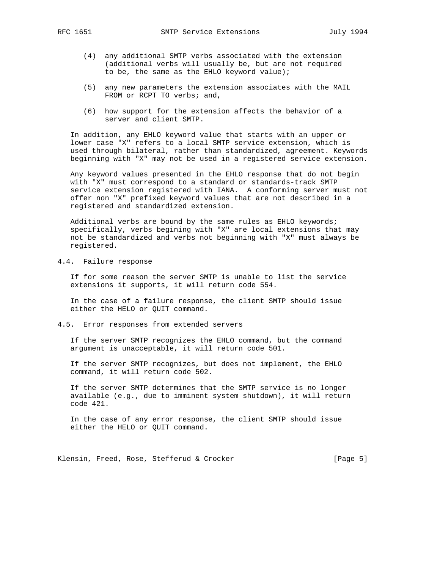- - (4) any additional SMTP verbs associated with the extension (additional verbs will usually be, but are not required to be, the same as the EHLO keyword value);
	- (5) any new parameters the extension associates with the MAIL FROM or RCPT TO verbs; and,
	- (6) how support for the extension affects the behavior of a server and client SMTP.

 In addition, any EHLO keyword value that starts with an upper or lower case "X" refers to a local SMTP service extension, which is used through bilateral, rather than standardized, agreement. Keywords beginning with "X" may not be used in a registered service extension.

 Any keyword values presented in the EHLO response that do not begin with "X" must correspond to a standard or standards-track SMTP service extension registered with IANA. A conforming server must not offer non "X" prefixed keyword values that are not described in a registered and standardized extension.

 Additional verbs are bound by the same rules as EHLO keywords; specifically, verbs begining with "X" are local extensions that may not be standardized and verbs not beginning with "X" must always be registered.

4.4. Failure response

 If for some reason the server SMTP is unable to list the service extensions it supports, it will return code 554.

 In the case of a failure response, the client SMTP should issue either the HELO or QUIT command.

## 4.5. Error responses from extended servers

 If the server SMTP recognizes the EHLO command, but the command argument is unacceptable, it will return code 501.

 If the server SMTP recognizes, but does not implement, the EHLO command, it will return code 502.

 If the server SMTP determines that the SMTP service is no longer available (e.g., due to imminent system shutdown), it will return code 421.

 In the case of any error response, the client SMTP should issue either the HELO or QUIT command.

Klensin, Freed, Rose, Stefferud & Crocker [Page 5]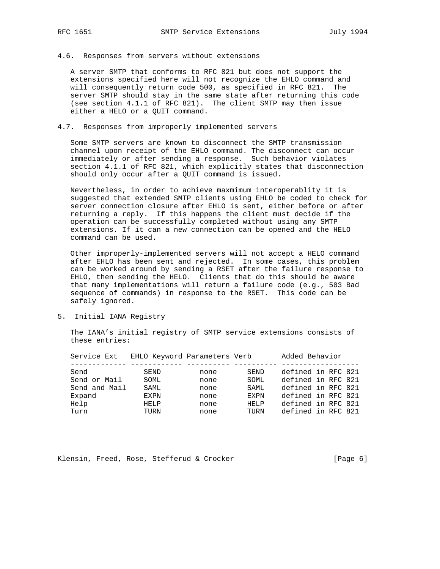4.6. Responses from servers without extensions

 A server SMTP that conforms to RFC 821 but does not support the extensions specified here will not recognize the EHLO command and will consequently return code 500, as specified in RFC 821. The server SMTP should stay in the same state after returning this code (see section 4.1.1 of RFC 821). The client SMTP may then issue either a HELO or a QUIT command.

# 4.7. Responses from improperly implemented servers

 Some SMTP servers are known to disconnect the SMTP transmission channel upon receipt of the EHLO command. The disconnect can occur immediately or after sending a response. Such behavior violates section 4.1.1 of RFC 821, which explicitly states that disconnection should only occur after a QUIT command is issued.

 Nevertheless, in order to achieve maxmimum interoperablity it is suggested that extended SMTP clients using EHLO be coded to check for server connection closure after EHLO is sent, either before or after returning a reply. If this happens the client must decide if the operation can be successfully completed without using any SMTP extensions. If it can a new connection can be opened and the HELO command can be used.

 Other improperly-implemented servers will not accept a HELO command after EHLO has been sent and rejected. In some cases, this problem can be worked around by sending a RSET after the failure response to EHLO, then sending the HELO. Clients that do this should be aware that many implementations will return a failure code (e.g., 503 Bad sequence of commands) in response to the RSET. This code can be safely ignored.

5. Initial IANA Registry

 The IANA's initial registry of SMTP service extensions consists of these entries:

| Service Ext   | EHLO Keyword Parameters Verb |      |             | Added Behavior     |  |  |
|---------------|------------------------------|------|-------------|--------------------|--|--|
| Send          | SEND                         | none | <b>SEND</b> | defined in RFC 821 |  |  |
| Send or Mail  | SOML                         | none | SOML        | defined in RFC 821 |  |  |
| Send and Mail | SAML                         | none | SAML.       | defined in RFC 821 |  |  |
| Expand        | <b>FXPN</b>                  | none | <b>FXPN</b> | defined in RFC 821 |  |  |
| Help          | HELP                         | none | HELP        | defined in RFC 821 |  |  |
| Turn          | TURN                         | none | TURN        | defined in RFC 821 |  |  |
|               |                              |      |             |                    |  |  |

Klensin, Freed, Rose, Stefferud & Crocker [Page 6]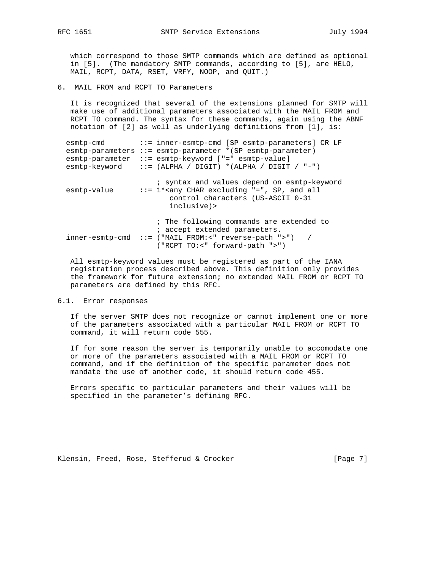which correspond to those SMTP commands which are defined as optional in [5]. (The mandatory SMTP commands, according to [5], are HELO, MAIL, RCPT, DATA, RSET, VRFY, NOOP, and QUIT.)

6. MAIL FROM and RCPT TO Parameters

 It is recognized that several of the extensions planned for SMTP will make use of additional parameters associated with the MAIL FROM and RCPT TO command. The syntax for these commands, again using the ABNF notation of [2] as well as underlying definitions from [1], is:

| esmtp-cmd<br>esmtp-parameter | ::= inner-esmtp-cmd [SP esmtp-parameters] CR LF<br>$esmtp-parameters :: = esmtp-parameter * (SP esmtp-parameter)$<br>::= esmtp-keyword ["=" esmtp-value]<br>$esmtp-keyword$ ::= (ALPHA / DIGIT) *(ALPHA / DIGIT / "-") |
|------------------------------|------------------------------------------------------------------------------------------------------------------------------------------------------------------------------------------------------------------------|
| esmtp-value                  | ; syntax and values depend on esmtp-keyword<br>$::= 1 * any CHAR excluding "=", SP, and all$<br>control characters (US-ASCII 0-31<br>inclusive)>                                                                       |
|                              | ; The following commands are extended to<br>; accept extended parameters.<br>$inner-esmtp-cmd$ ::= ("MAIL FROM:<" reverse-path ">") /<br>("RCPT TO:<" forward-path ">")                                                |

 All esmtp-keyword values must be registered as part of the IANA registration process described above. This definition only provides the framework for future extension; no extended MAIL FROM or RCPT TO parameters are defined by this RFC.

#### 6.1. Error responses

 If the server SMTP does not recognize or cannot implement one or more of the parameters associated with a particular MAIL FROM or RCPT TO command, it will return code 555.

 If for some reason the server is temporarily unable to accomodate one or more of the parameters associated with a MAIL FROM or RCPT TO command, and if the definition of the specific parameter does not mandate the use of another code, it should return code 455.

 Errors specific to particular parameters and their values will be specified in the parameter's defining RFC.

Klensin, Freed, Rose, Stefferud & Crocker [Page 7]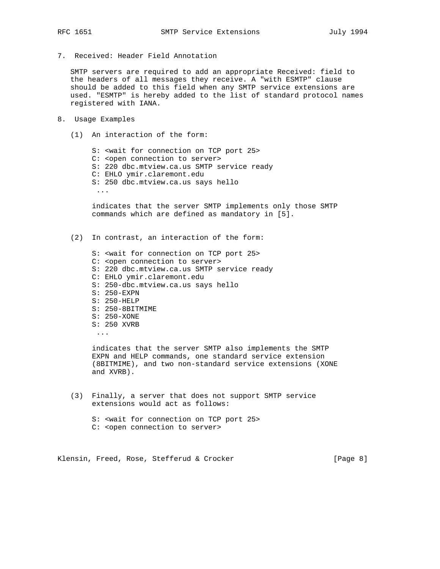7. Received: Header Field Annotation

 SMTP servers are required to add an appropriate Received: field to the headers of all messages they receive. A "with ESMTP" clause should be added to this field when any SMTP service extensions are used. "ESMTP" is hereby added to the list of standard protocol names registered with IANA.

- 8. Usage Examples
	- (1) An interaction of the form:

 S: <wait for connection on TCP port 25> C: <open connection to server> S: 220 dbc.mtview.ca.us SMTP service ready C: EHLO ymir.claremont.edu S: 250 dbc.mtview.ca.us says hello ... indicates that the server SMTP implements only those SMTP

commands which are defined as mandatory in [5].

(2) In contrast, an interaction of the form:

 S: <wait for connection on TCP port 25> C: <open connection to server> S: 220 dbc.mtview.ca.us SMTP service ready C: EHLO ymir.claremont.edu S: 250-dbc.mtview.ca.us says hello S: 250-EXPN S: 250-HELP S: 250-8BITMIME S: 250-XONE S: 250 XVRB ...

> indicates that the server SMTP also implements the SMTP EXPN and HELP commands, one standard service extension (8BITMIME), and two non-standard service extensions (XONE and XVRB).

- (3) Finally, a server that does not support SMTP service extensions would act as follows:
	- S: <wait for connection on TCP port 25> C: <open connection to server>

Klensin, Freed, Rose, Stefferud & Crocker [Page 8]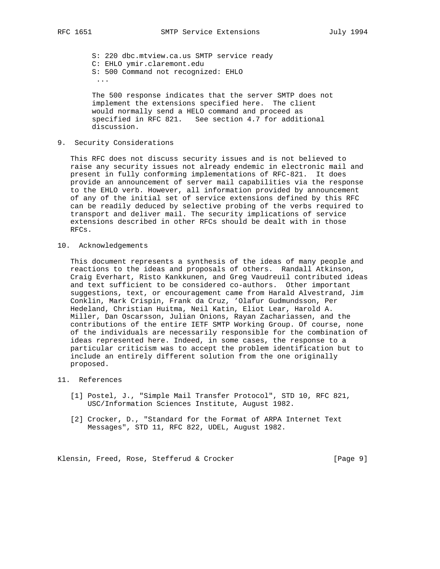S: 220 dbc.mtview.ca.us SMTP service ready C: EHLO ymir.claremont.edu S: 500 Command not recognized: EHLO ... The 500 response indicates that the server SMTP does not

 implement the extensions specified here. The client would normally send a HELO command and proceed as specified in RFC 821. See section 4.7 for additional discussion.

9. Security Considerations

 This RFC does not discuss security issues and is not believed to raise any security issues not already endemic in electronic mail and present in fully conforming implementations of RFC-821. It does provide an announcement of server mail capabilities via the response to the EHLO verb. However, all information provided by announcement of any of the initial set of service extensions defined by this RFC can be readily deduced by selective probing of the verbs required to transport and deliver mail. The security implications of service extensions described in other RFCs should be dealt with in those RFCs.

10. Acknowledgements

 This document represents a synthesis of the ideas of many people and reactions to the ideas and proposals of others. Randall Atkinson, Craig Everhart, Risto Kankkunen, and Greg Vaudreuil contributed ideas and text sufficient to be considered co-authors. Other important suggestions, text, or encouragement came from Harald Alvestrand, Jim Conklin, Mark Crispin, Frank da Cruz, 'Olafur Gudmundsson, Per Hedeland, Christian Huitma, Neil Katin, Eliot Lear, Harold A. Miller, Dan Oscarsson, Julian Onions, Rayan Zachariassen, and the contributions of the entire IETF SMTP Working Group. Of course, none of the individuals are necessarily responsible for the combination of ideas represented here. Indeed, in some cases, the response to a particular criticism was to accept the problem identification but to include an entirely different solution from the one originally proposed.

## 11. References

- [1] Postel, J., "Simple Mail Transfer Protocol", STD 10, RFC 821, USC/Information Sciences Institute, August 1982.
- [2] Crocker, D., "Standard for the Format of ARPA Internet Text Messages", STD 11, RFC 822, UDEL, August 1982.

Klensin, Freed, Rose, Stefferud & Crocker [Page 9]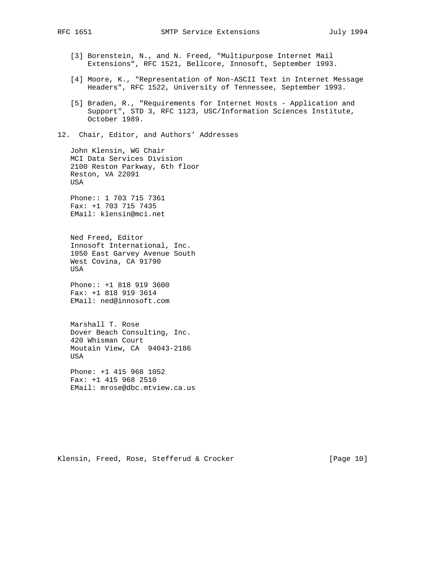- [3] Borenstein, N., and N. Freed, "Multipurpose Internet Mail Extensions", RFC 1521, Bellcore, Innosoft, September 1993.
- [4] Moore, K., "Representation of Non-ASCII Text in Internet Message Headers", RFC 1522, University of Tennessee, September 1993.
- [5] Braden, R., "Requirements for Internet Hosts Application and Support", STD 3, RFC 1123, USC/Information Sciences Institute, October 1989.
- 12. Chair, Editor, and Authors' Addresses

 John Klensin, WG Chair MCI Data Services Division 2100 Reston Parkway, 6th floor Reston, VA 22091 USA

 Phone:: 1 703 715 7361 Fax: +1 703 715 7435 EMail: klensin@mci.net

 Ned Freed, Editor Innosoft International, Inc. 1050 East Garvey Avenue South West Covina, CA 91790 USA

 Phone:: +1 818 919 3600 Fax: +1 818 919 3614 EMail: ned@innosoft.com

 Marshall T. Rose Dover Beach Consulting, Inc. 420 Whisman Court Moutain View, CA 94043-2186 USA

 Phone: +1 415 968 1052 Fax: +1 415 968 2510 EMail: mrose@dbc.mtview.ca.us